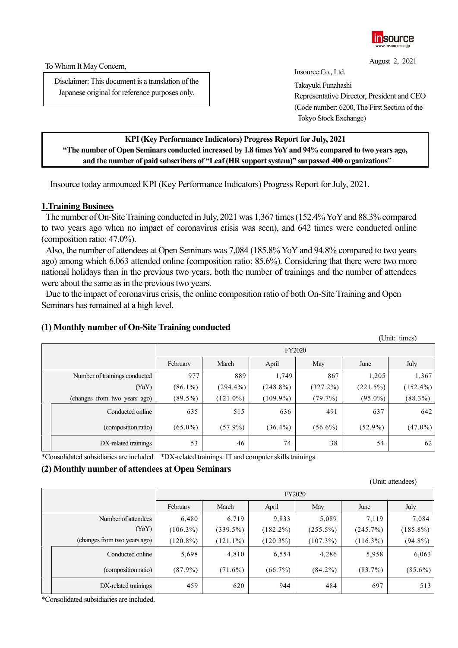

August 2, 2021

(Unit: attendees)

To Whom It May Concern,

Disclaimer: This document is a translation of the Japanese original for reference purposes only.

Insource Co., Ltd.

Takayuki Funahashi Representative Director, President and CEO (Code number: 6200, The First Section of the Tokyo Stock Exchange)

### **KPI(Key Performance Indicators) Progress Report for July, 2021 "The number of Open Seminars conducted increased by 1.8 times YoY and 94% compared to two years ago, and the number of paid subscribers of "Leaf (HR support system)" surpassed 400 organizations"**

Insource today announced KPI (Key Performance Indicators) Progress Report forJuly, 2021.

### **1.Training Business**

The number of On-Site Training conducted in July, 2021 was 1,367 times(152.4% YoYand 88.3% compared to two years ago when no impact of coronavirus crisis was seen), and 642 times were conducted online (composition ratio: 47.0%).

Also, the number of attendees at Open Seminars was 7,084 (185.8% YoY and 94.8% compared to two years ago) among which 6,063 attended online (composition ratio: 85.6%). Considering that there were two more national holidays than in the previous two years, both the number of trainings and the number of attendees were about the same as in the previous two years.

Due to the impact of coronavirus crisis, the online composition ratio of both On-Site Training and Open Seminars has remained at a high level.

# **(1) Monthly number of On-Site Training conducted**

|  |                               |            |             |             |             |            | (Unit: times) |  |
|--|-------------------------------|------------|-------------|-------------|-------------|------------|---------------|--|
|  |                               |            | FY2020      |             |             |            |               |  |
|  |                               | February   | March       | April       | May         | June       | July          |  |
|  | Number of trainings conducted | 977        | 889         | 1,749       | 867         | 1,205      | 1,367         |  |
|  | (YoY)                         | $(86.1\%)$ | $(294.4\%)$ | $(248.8\%)$ | $(327.2\%)$ | (221.5%)   | $(152.4\%)$   |  |
|  | (changes from two years ago)  | $(89.5\%)$ | $(121.0\%)$ | $(109.9\%)$ | $(79.7\%)$  | $(95.0\%)$ | $(88.3\%)$    |  |
|  | Conducted online              | 635        | 515         | 636         | 491         | 637        | 642           |  |
|  | (composition ratio)           | $(65.0\%)$ | $(57.9\%)$  | $(36.4\%)$  | $(56.6\%)$  | $(52.9\%)$ | $(47.0\%)$    |  |
|  | DX-related trainings          | 53         | 46          | 74          | 38          | 54         | 62            |  |

\*Consolidated subsidiaries are included \*DX-related trainings: IT and computer skills trainings

# **(2) Monthly number of attendees at Open Seminars**

|  |                              | $\sigma$ - $\mu$ $\sigma$ $\sigma$ $\sigma$ |             |             |             |             |             |  |
|--|------------------------------|---------------------------------------------|-------------|-------------|-------------|-------------|-------------|--|
|  |                              | <b>FY2020</b>                               |             |             |             |             |             |  |
|  |                              | February                                    | March       | April       | May         | June        | July        |  |
|  | Number of attendees          | 6,480                                       | 6,719       | 9,833       | 5,089       | 7,119       | 7,084       |  |
|  | (YoY)                        | $(106.3\%)$                                 | $(339.5\%)$ | $(182.2\%)$ | $(255.5\%)$ | (245.7%)    | $(185.8\%)$ |  |
|  | (changes from two years ago) | $(120.8\%)$                                 | $(121.1\%)$ | $(120.3\%)$ | $(107.3\%)$ | $(116.3\%)$ | $(94.8\%)$  |  |
|  | Conducted online             | 5,698                                       | 4,810       | 6,554       | 4,286       | 5,958       | 6,063       |  |
|  | (composition ratio)          | $(87.9\%)$                                  | $(71.6\%)$  | $(66.7\%)$  | $(84.2\%)$  | $(83.7\%)$  | $(85.6\%)$  |  |
|  | DX-related trainings         | 459                                         | 620         | 944         | 484         | 697         | 513         |  |

\*Consolidated subsidiaries are included.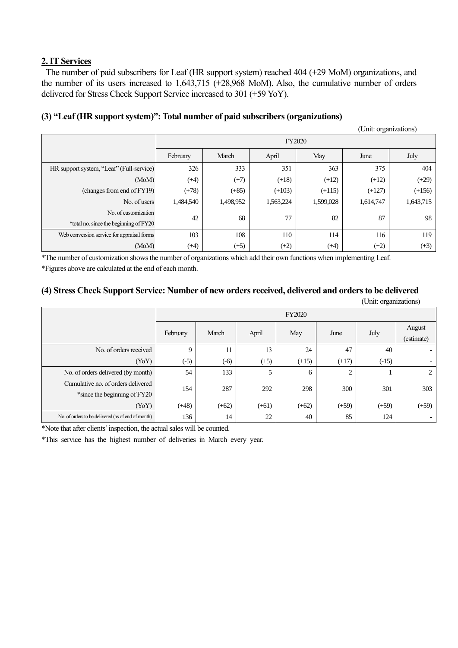# **2. IT Services**

The number of paid subscribers for Leaf (HR support system) reached 404 (+29 MoM) organizations, and the number of its users increased to 1,643,715 (+28,968 MoM). Also, the cumulative number of orders delivered for Stress Check Support Service increased to 301 (+59 YoY).

# **(3) "Leaf (HR support system)": Total number of paid subscribers (organizations)**

|                                            |           |                                       |           |           | (Unit: organizations) |           |  |  |  |  |
|--------------------------------------------|-----------|---------------------------------------|-----------|-----------|-----------------------|-----------|--|--|--|--|
|                                            |           | <b>FY2020</b>                         |           |           |                       |           |  |  |  |  |
|                                            | February  | March<br>April<br>May<br>July<br>June |           |           |                       |           |  |  |  |  |
| HR support system, "Leaf" (Full-service)   | 326       | 333                                   | 351       | 363       | 375                   | 404       |  |  |  |  |
| (MoM)                                      | $(+4)$    | $(+7)$                                | $(+18)$   | $(+12)$   | $(+12)$               | $(+29)$   |  |  |  |  |
| (changes from end of FY19)                 | $(+78)$   | $(+85)$                               | $(+103)$  | $(+115)$  | $(+127)$              | $(+156)$  |  |  |  |  |
| No. of users                               | 1,484,540 | 1,498,952                             | 1,563,224 | 1,599,028 | 1,614,747             | 1,643,715 |  |  |  |  |
| No. of customization                       |           |                                       | 42<br>68  | 77        | 82                    | 87        |  |  |  |  |
| *total no. since the beginning of FY20     |           |                                       |           |           |                       | 98        |  |  |  |  |
| Web conversion service for appraisal forms | 103       | 108                                   | 110       | 114       | 116                   | 119       |  |  |  |  |
| (MoM)                                      | $(+4)$    | $(+5)$                                | $(+2)$    | $(+4)$    | $(+2)$                | $(+3)$    |  |  |  |  |

\*The number of customization shows the number of organizations which add their own functions when implementing Leaf. \*Figures above are calculated at the end of each month.

#### **(4) Stress Check Support Service: Number of new orders received, delivered and orders to be delivered**  (Unit: organizations)

| UIIII. UI gamzanons)                                               |                                           |               |         |         |         |         |                      |  |
|--------------------------------------------------------------------|-------------------------------------------|---------------|---------|---------|---------|---------|----------------------|--|
|                                                                    |                                           | <b>FY2020</b> |         |         |         |         |                      |  |
|                                                                    | March<br>April<br>February<br>May<br>June |               |         |         |         | July    | August<br>(estimate) |  |
| No. of orders received                                             | 9                                         | 11            | 13      | 24      | 47      | 40      |                      |  |
| (YoY)                                                              | $(-5)$                                    | $(-6)$        | $(+5)$  | $(+15)$ | $(+17)$ | $(-15)$ |                      |  |
| No. of orders delivered (by month)                                 | 54                                        | 133           | 5       | 6       | 2       |         | 2                    |  |
| Cumulative no. of orders delivered<br>*since the beginning of FY20 | 154                                       | 287           | 292     | 298     | 300     | 301     | 303                  |  |
| (YoY)                                                              | $(+48)$                                   | $(+62)$       | $(+61)$ | $(+62)$ | $(+59)$ | $(+59)$ | $(+59)$              |  |
| No. of orders to be delivered (as of end of month)                 | 136                                       | 14            | 22      | 40      | 85      | 124     | $\sim$               |  |

\*Note that after clients'inspection, the actual sales will be counted.

\*This service has the highest number of deliveries in March every year.